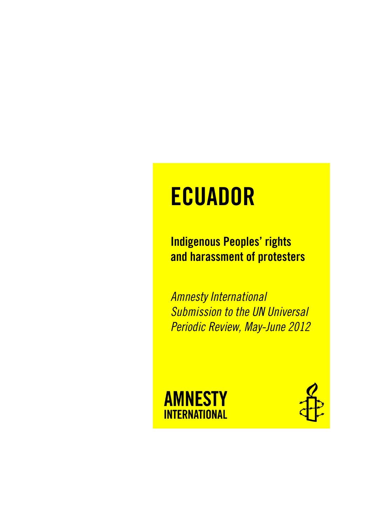# **ECUADOR**

Indigenous Peoples' rights and harassment of protesters

*Amnesty International Submission to the UN Universal Periodic Review, May-June 2012*



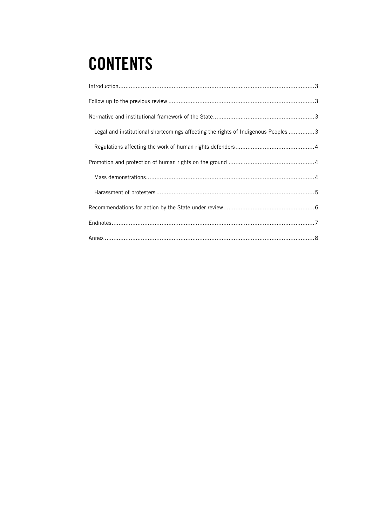## **CONTENTS**

| Legal and institutional shortcomings affecting the rights of Indigenous Peoples 3 |  |
|-----------------------------------------------------------------------------------|--|
|                                                                                   |  |
|                                                                                   |  |
|                                                                                   |  |
|                                                                                   |  |
|                                                                                   |  |
|                                                                                   |  |
|                                                                                   |  |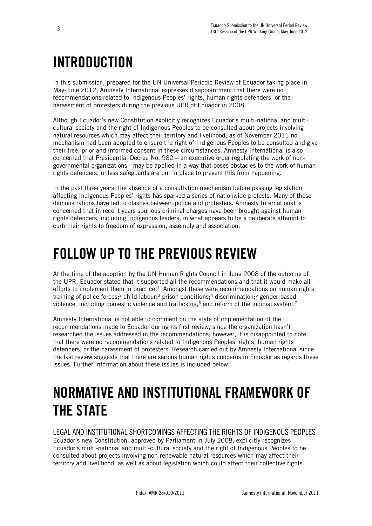### <span id="page-2-0"></span>INTRODUCTION

In this submission, prepared for the UN Universal Periodic Review of Ecuador taking place in May-June 2012, Amnesty International expresses disappointment that there were no recommendations related to Indigenous Peoples' rights, human rights defenders, or the harassment of protesters during the previous UPR of Ecuador in 2008.

Although Ecuador's new Constitution explicitly recognizes Ecuador's multi-national and multicultural society and the right of Indigenous Peoples to be consulted about projects involving natural resources which may affect their territory and livelihood, as of November 2011 no mechanism had been adopted to ensure the right of Indigenous Peoples to be consulted and give their free, prior and informed consent in these circumstances. Amnesty International is also concerned that Presidential Decree No. 982 – an executive order regulating the work of nongovernmental organizations - may be applied in a way that poses obstacles to the work of human rights defenders, unless safeguards are put in place to prevent this from happening.

In the past three years, the absence of a consultation mechanism before passing legislation affecting Indigenous Peoples' rights has sparked a series of nationwide protests. Many of these demonstrations have led to clashes between police and protesters. Amnesty International is concerned that in recent years spurious criminal charges have been brought against human rights defenders, including Indigenous leaders, in what appears to be a deliberate attempt to curb their rights to freedom of expression, assembly and association.

### <span id="page-2-1"></span>FOLLOW UP TO THE PREVIOUS REVIEW

At the time of the adoption by the UN Human Rights Council in June 2008 of the outcome of the UPR, Ecuador stated that it supported all the recommendations and that it would make all efforts to implement them in practice.<sup>1</sup> Amongst these were recommendations on human rights training of police forces;<sup>2</sup> child labour;<sup>3</sup> prison conditions;<sup>4</sup> discrimination;<sup>5</sup> gender-based violence, including domestic violence and trafficking;<sup>6</sup> and reform of the judicial system.<sup>7</sup>

Amnesty International is not able to comment on the state of implementation of the recommendations made to Ecuador during its first review, since the organization hasn't researched the issues addressed in the recommendations; however, it is disappointed to note that there were no recommendations related to Indigenous Peoples' rights, human rights defenders, or the harassment of protesters. Research carried out by Amnesty International since the last review suggests that there are serious human rights concerns in Ecuador as regards these issues. Further information about these issues is included below.

### <span id="page-2-2"></span>NORMATIVE AND INSTITUTIONAL FRAMEWORK OF THE STATE

<span id="page-2-3"></span>LEGAL AND INSTITUTIONAL SHORTCOMINGS AFFECTING THE RIGHTS OF INDIGENOUS PEOPLES Ecuador's new Constitution, approved by Parliament in July 2008, explicitly recognizes Ecuador's multi-national and multi-cultural society and the right of Indigenous Peoples to be consulted about projects involving non-renewable natural resources which may affect their territory and livelihood, as well as about legislation which could affect their collective rights.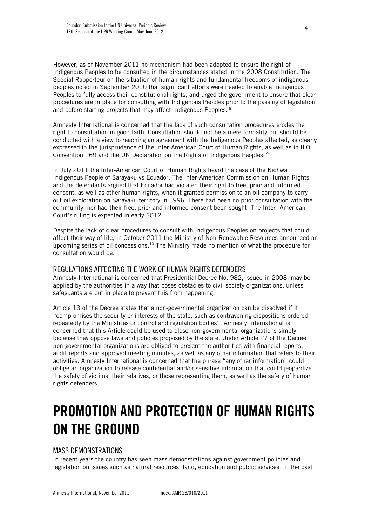However, as of November 2011 no mechanism had been adopted to ensure the right of Indigenous Peoples to be consulted in the circumstances stated in the 2008 Constitution. The Special Rapporteur on the situation of human rights and fundamental freedoms of indigenous peoples noted in September 2010 that significant efforts were needed to enable Indigenous Peoples to fully access their constitutional rights, and urged the government to ensure that clear procedures are in place for consulting with Indigenous Peoples prior to the passing of legislation and before starting projects that may affect Indigenous Peoples. <sup>8</sup>

Amnesty International is concerned that the lack of such consultation procedures erodes the right to consultation in good faith. Consultation should not be a mere formality but should be conducted with a view to reaching an agreement with the Indigenous Peoples affected, as clearly expressed in the jurisprudence of the Inter-American Court of Human Rights, as well as in ILO Convention 169 and the UN Declaration on the Rights of Indigenous Peoples. <sup>9</sup>

In July 2011 the Inter-American Court of Human Rights heard the case of the Kichwa Indigenous People of Sarayaku vs Ecuador. The Inter-American Commission on Human Rights and the defendants argued that Ecuador had violated their right to free, prior and informed consent, as well as other human rights, when it granted permission to an oil company to carry out oil exploration on Sarayaku territory in 1996. There had been no prior consultation with the community, nor had their free, prior and informed consent been sought. The Inter- American Court's ruling is expected in early 2012.

Despite the lack of clear procedures to consult with Indigenous Peoples on projects that could affect their way of life, in October 2011 the Ministry of Non-Renewable Resources announced an upcoming series of oil concessions.<sup>10</sup> The Ministry made no mention of what the procedure for consultation would be.

#### <span id="page-3-0"></span>REGULATIONS AFFECTING THE WORK OF HUMAN RIGHTS DEFENDERS

Amnesty International is concerned that Presidential Decree No. 982, issued in 2008, may be applied by the authorities in a way that poses obstacles to civil society organizations, unless safeguards are put in place to prevent this from happening.

Article 13 of the Decree states that a non-governmental organization can be dissolved if it "compromises the security or interests of the state, such as contravening dispositions ordered repeatedly by the Ministries or control and regulation bodies". Amnesty International is concerned that this Article could be used to close non-governmental organizations simply because they oppose laws and policies proposed by the state. Under Article 27 of the Decree, non-governmental organizations are obliged to present the authorities with financial reports, audit reports and approved meeting minutes, as well as any other information that refers to their activities. Amnesty International is concerned that the phrase "any other information" could oblige an organization to release confidential and/or sensitive information that could jeopardize the safety of victims, their relatives, or those representing them, as well as the safety of human rights defenders.

### <span id="page-3-1"></span>PROMOTION AND PROTECTION OF HUMAN RIGHTS ON THE GROUND

### <span id="page-3-2"></span>MASS DEMONSTRATIONS

In recent years the country has seen mass demonstrations against government policies and legislation on issues such as natural resources, land, education and public services. In the past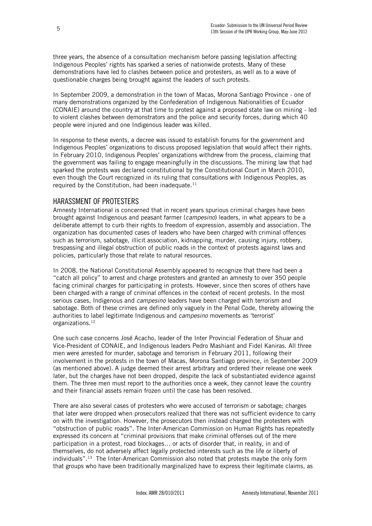three years, the absence of a consultation mechanism before passing legislation affecting Indigenous Peoples' rights has sparked a series of nationwide protests. Many of these demonstrations have led to clashes between police and protesters, as well as to a wave of questionable charges being brought against the leaders of such protests.

In September 2009, a demonstration in the town of Macas, Morona Santiago Province - one of many demonstrations organized by the Confederation of Indigenous Nationalities of Ecuador (CONAIE) around the country at that time to protest against a proposed state law on mining - led to violent clashes between demonstrators and the police and security forces, during which 40 people were injured and one Indigenous leader was killed.

In response to these events, a decree was issued to establish forums for the government and Indigenous Peoples' organizations to discuss proposed legislation that would affect their rights. In February 2010, Indigenous Peoples' organizations withdrew from the process, claiming that the government was failing to engage meaningfully in the discussions. The mining law that had sparked the protests was declared constitutional by the Constitutional Court in March 2010, even though the Court recognized in its ruling that consultations with Indigenous Peoples, as required by the Constitution, had been inadequate. $^{11}$ 

#### <span id="page-4-0"></span>HARASSMENT OF PROTESTERS

Amnesty International is concerned that in recent years spurious criminal charges have been brought against Indigenous and peasant farmer (*campesino*) leaders, in what appears to be a deliberate attempt to curb their rights to freedom of expression, assembly and association. The organization has documented cases of leaders who have been charged with criminal offences such as terrorism, sabotage, illicit association, kidnapping, murder, causing injury, robbery, trespassing and illegal obstruction of public roads in the context of protests against laws and policies, particularly those that relate to natural resources.

In 2008, the National Constitutional Assembly appeared to recognize that there had been a "catch all policy" to arrest and charge protesters and granted an amnesty to over 350 people facing criminal charges for participating in protests. However, since then scores of others have been charged with a range of criminal offences in the context of recent protests. In the most serious cases, Indigenous and *campesino* leaders have been charged with terrorism and sabotage. Both of these crimes are defined only vaguely in the Penal Code, thereby allowing the authorities to label legitimate Indigenous and *campesino* movements as 'terrorist' organizations.<sup>12</sup>

One such case concerns José Acacho, leader of the Inter Provincial Federation of Shuar and Vice-President of CONAIE, and Indigenous leaders Pedro Mashiant and Fidel Kaniras. All three men were arrested for murder, sabotage and terrorism in February 2011, following their involvement in the protests in the town of Macas, Morona Santiago province, in September 2009 (as mentioned above). A judge deemed their arrest arbitrary and ordered their release one week later, but the charges have not been dropped, despite the lack of substantiated evidence against them. The three men must report to the authorities once a week, they cannot leave the country and their financial assets remain frozen until the case has been resolved.

There are also several cases of protesters who were accused of terrorism or sabotage; charges that later were dropped when prosecutors realized that there was not sufficient evidence to carry on with the investigation. However, the prosecutors then instead charged the protesters with "obstruction of public roads". The Inter-American Commission on Human Rights has repeatedly expressed its concern at "criminal provisions that make criminal offenses out of the mere participation in a protest, road blockages… or acts of disorder that, in reality, in and of themselves, do not adversely affect legally protected interests such as the life or liberty of individuals".<sup>13</sup> The Inter-American Commission also noted that protests maybe the only form that groups who have been traditionally marginalized have to express their legitimate claims, as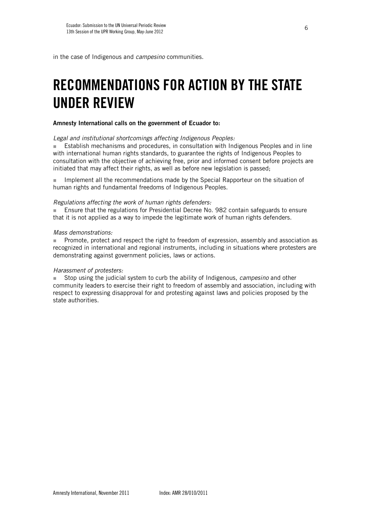in the case of Indigenous and *campesino* communities.

### <span id="page-5-0"></span>RECOMMENDATIONS FOR ACTION BY THE STATE UNDER REVIEW

#### Amnesty International calls on the government of Ecuador to:

#### *Legal and institutional shortcomings affecting Indigenous Peoples:*

**Establish mechanisms and procedures, in consultation with Indigenous Peoples and in line** with international human rights standards, to guarantee the rights of Indigenous Peoples to consultation with the objective of achieving free, prior and informed consent before projects are initiated that may affect their rights, as well as before new legislation is passed;

**IMPLEM** Implement all the recommendations made by the Special Rapporteur on the situation of human rights and fundamental freedoms of Indigenous Peoples.

#### *Regulations affecting the work of human rights defenders:*

 Ensure that the regulations for Presidential Decree No. 982 contain safeguards to ensure that it is not applied as a way to impede the legitimate work of human rights defenders.

#### *Mass demonstrations:*

**Promote, protect and respect the right to freedom of expression, assembly and association as** recognized in international and regional instruments, including in situations where protesters are demonstrating against government policies, laws or actions.

#### *Harassment of protesters:*

 Stop using the judicial system to curb the ability of Indigenous, *campesino* and other community leaders to exercise their right to freedom of assembly and association, including with respect to expressing disapproval for and protesting against laws and policies proposed by the state authorities.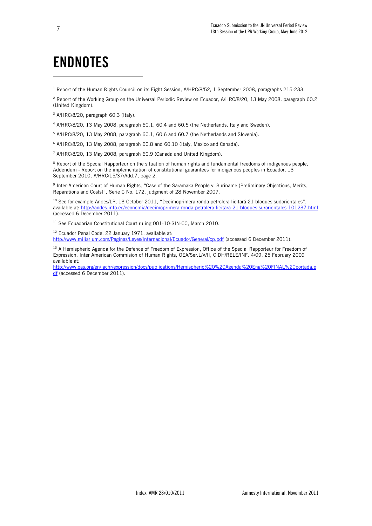### <span id="page-6-0"></span>ENDNOTES

<sup>1</sup> Report of the Human Rights Council on its Eight Session, A/HRC/8/52, 1 September 2008, paragraphs 215-233.

<sup>2</sup> Report of the Working Group on the Universal Periodic Review on Ecuador, A/HRC/8/20, 13 May 2008, paragraph 60.2 (United Kingdom).

- <sup>3</sup> A/HRC/8/20, paragraph 60.3 (Italy).
- <sup>4</sup> A/HRC/8/20, 13 May 2008, paragraph 60.1, 60.4 and 60.5 (the Netherlands, Italy and Sweden).
- <sup>5</sup> A/HRC/8/20, 13 May 2008, paragraph 60.1, 60.6 and 60.7 (the Netherlands and Slovenia).
- <sup>6</sup> A/HRC/8/20, 13 May 2008, paragraph 60.8 and 60.10 (Italy, Mexico and Canada).
- <sup>7</sup> A/HRC/8/20, 13 May 2008, paragraph 60.9 (Canada and United Kingdom).

<sup>8</sup> Report of the Special Rapporteur on the situation of human rights and fundamental freedoms of indigenous people, Addendum - Report on the implementation of constitutional guarantees for indigenous peoples in Ecuador, 13 September 2010, A/HRC/15/37/Add.7, page 2.

9 Inter-American Court of Human Rights, "Case of the Saramaka People v. Suriname (Preliminary Objections, Merits, Reparations and Costs)", Serie C No. 172, judgment of 28 November 2007.

<sup>10</sup> See for example Andes/LP, 13 October 2011, "Decimoprimera ronda petrolera licitará 21 bloques sudorientales", available at[: http://andes.info.ec/economia/decimoprimera-ronda-petrolera-licitara-21-bloques-surorientales-101237.html](http://andes.info.ec/economia/decimoprimera-ronda-petrolera-licitara-21-bloques-surorientales-101237.html) (accessed 6 December 2011).

<sup>11</sup> See Ecuadorian Constitutional Court ruling 001-10-SIN-CC, March 2010.

<sup>12</sup> Ecuador Penal Code, 22 January 1971, available at:

<http://www.miliarium.com/Paginas/Leyes/Internacional/Ecuador/General/cp.pdf> (accessed 6 December 2011).

<sup>13</sup> A Hemispheric Agenda for the Defence of Freedom of Expression, Office of the Special Rapporteur for Freedom of Expression, Inter American Commision of Human Rights, OEA/Ser.L/V/II, CIDH/RELE/INF. 4/09, 25 February 2009 available at:

[http://www.oas.org/en/iachr/expression/docs/publications/Hemispheric%20%20Agenda%20Eng%20FINAL%20portada.p](http://www.oas.org/en/iachr/expression/docs/publications/Hemispheric%20%20Agenda%20Eng%20FINAL%20portada.pdf) [df](http://www.oas.org/en/iachr/expression/docs/publications/Hemispheric%20%20Agenda%20Eng%20FINAL%20portada.pdf) (accessed 6 December 2011).

ł